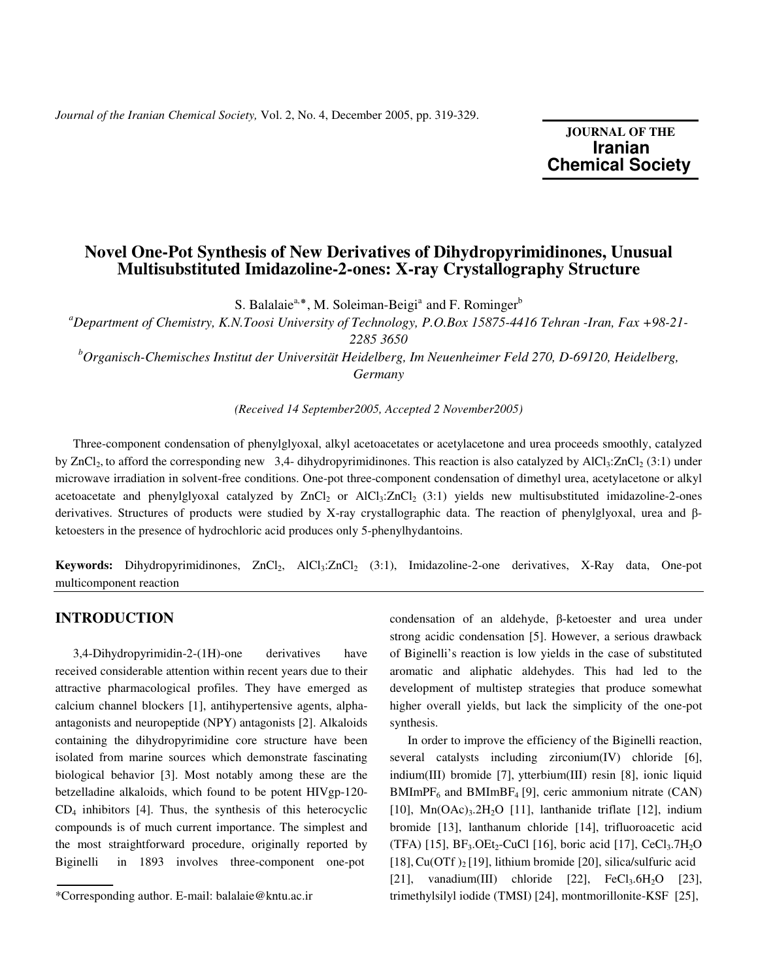**JOURNAL OF THE Iranian**  **Chemical Society** 

# **Novel One-Pot Synthesis of New Derivatives of Dihydropyrimidinones, Unusual Multisubstituted Imidazoline-2-ones: X-ray Crystallography Structure**

S. Balalaie<sup>a,\*</sup>, M. Soleiman-Beigi<sup>a</sup> and F. Rominger<sup>b</sup>

*<sup>a</sup>Department of Chemistry, K.N.Toosi University of Technology, P.O.Box 15875-4416 Tehran -Iran, Fax +98-21-* 

*2285 3650* 

*<sup>b</sup>Organisch-Chemisches Institut der Universität Heidelberg, Im Neuenheimer Feld 270, D-69120, Heidelberg, Germany* 

*(Received 14 September2005, Accepted 2 November2005)* 

 Three-component condensation of phenylglyoxal, alkyl acetoacetates or acetylacetone and urea proceeds smoothly, catalyzed by ZnCl<sub>2</sub>, to afford the corresponding new 3,4- dihydropyrimidinones. This reaction is also catalyzed by AlCl<sub>3</sub>:ZnCl<sub>2</sub> (3:1) under microwave irradiation in solvent-free conditions. One-pot three-component condensation of dimethyl urea, acetylacetone or alkyl acetoacetate and phenylglyoxal catalyzed by  $ZnCl_2$  or AlCl<sub>3</sub>: $ZnCl_2$  (3:1) yields new multisubstituted imidazoline-2-ones derivatives. Structures of products were studied by X-ray crystallographic data. The reaction of phenylglyoxal, urea and βketoesters in the presence of hydrochloric acid produces only 5-phenylhydantoins.

**Keywords:** Dihydropyrimidinones, ZnCl<sub>2</sub>, AlCl<sub>3</sub>:ZnCl<sub>2</sub> (3:1), Imidazoline-2-one derivatives, X-Ray data, One-pot multicomponent reaction

## **INTRODUCTION**

 3,4-Dihydropyrimidin-2-(1H)-one derivatives have received considerable attention within recent years due to their attractive pharmacological profiles. They have emerged as calcium channel blockers [1], antihypertensive agents, alphaantagonists and neuropeptide (NPY) antagonists [2]. Alkaloids containing the dihydropyrimidine core structure have been isolated from marine sources which demonstrate fascinating biological behavior [3]. Most notably among these are the betzelladine alkaloids, which found to be potent HIVgp-120-  $CD<sub>4</sub>$  inhibitors [4]. Thus, the synthesis of this heterocyclic compounds is of much current importance. The simplest and the most straightforward procedure, originally reported by Biginelli in 1893 involves three-component one-pot

condensation of an aldehyde, β-ketoester and urea under strong acidic condensation [5]. However, a serious drawback of Biginelli's reaction is low yields in the case of substituted aromatic and aliphatic aldehydes. This had led to the development of multistep strategies that produce somewhat higher overall yields, but lack the simplicity of the one-pot synthesis.

 In order to improve the efficiency of the Biginelli reaction, several catalysts including zirconium(IV) chloride [6], indium(III) bromide [7], ytterbium(III) resin [8], ionic liquid  $BMImPF_6$  and  $BMImBF_4$  [9], ceric ammonium nitrate (CAN) [10],  $Mn(OAc)<sub>3</sub>·2H<sub>2</sub>O$  [11], lanthanide triflate [12], indium bromide [13], lanthanum chloride [14], trifluoroacetic acid (TFA) [15],  $BF_3$ . OEt<sub>2</sub>-CuCl [16], boric acid [17], CeCl<sub>3</sub>. 7H<sub>2</sub>O [18], Cu(OTf)<sub>2</sub> [19], lithium bromide [20], silica/sulfuric acid [21], vanadium(III) chloride [22],  $\text{FeCl}_3.6\text{H}_2\text{O}$  [23], trimethylsilyl iodide (TMSI) [24], montmorillonite-KSF [25],

<sup>\*</sup>Corresponding author. E-mail: balalaie@kntu.ac.ir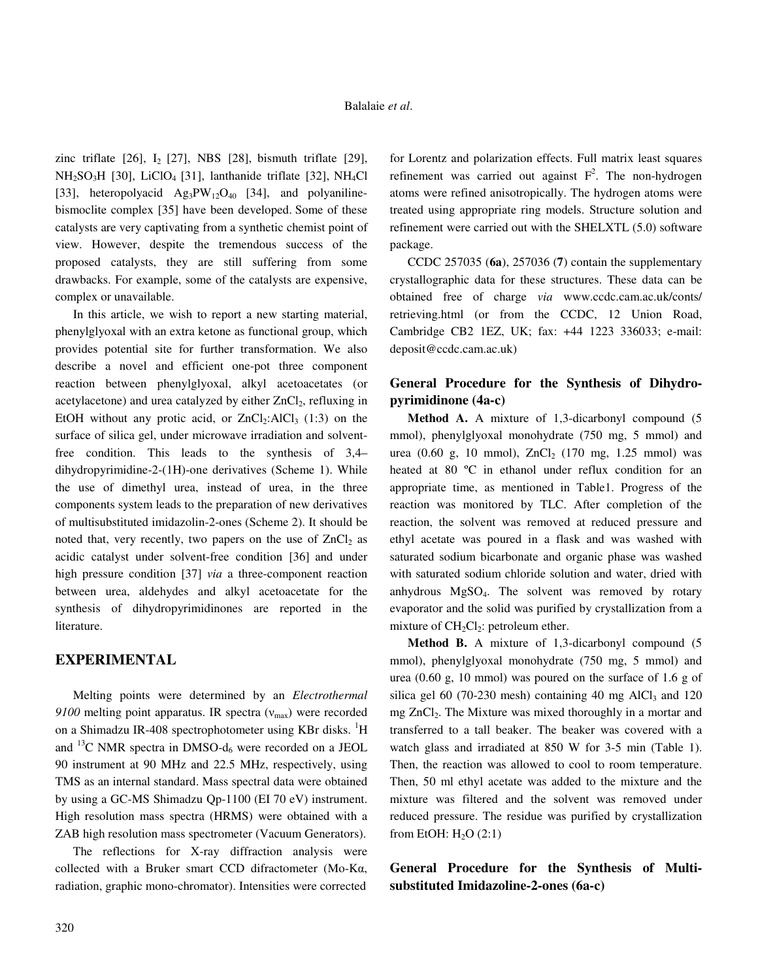zinc triflate  $[26]$ ,  $I_2$   $[27]$ , NBS  $[28]$ , bismuth triflate  $[29]$ ,  $NH<sub>2</sub>SO<sub>3</sub>H$  [30], LiClO<sub>4</sub> [31], lanthanide triflate [32], NH<sub>4</sub>Cl [33], heteropolyacid  $\text{Ag}_3\text{PW}_{12}\text{O}_{40}$  [34], and polyanilinebismoclite complex [35] have been developed. Some of these catalysts are very captivating from a synthetic chemist point of view. However, despite the tremendous success of the proposed catalysts, they are still suffering from some drawbacks. For example, some of the catalysts are expensive, complex or unavailable.

 In this article, we wish to report a new starting material, phenylglyoxal with an extra ketone as functional group, which provides potential site for further transformation. We also describe a novel and efficient one-pot three component reaction between phenylglyoxal, alkyl acetoacetates (or acetylacetone) and urea catalyzed by either  $ZnCl<sub>2</sub>$ , refluxing in EtOH without any protic acid, or  $ZnCl<sub>2</sub>:AlCl<sub>3</sub>(1:3)$  on the surface of silica gel, under microwave irradiation and solventfree condition. This leads to the synthesis of 3,4– dihydropyrimidine-2-(1H)-one derivatives (Scheme 1). While the use of dimethyl urea, instead of urea, in the three components system leads to the preparation of new derivatives of multisubstituted imidazolin-2-ones (Scheme 2). It should be noted that, very recently, two papers on the use of  $ZnCl<sub>2</sub>$  as acidic catalyst under solvent-free condition [36] and under high pressure condition [37] *via* a three-component reaction between urea, aldehydes and alkyl acetoacetate for the synthesis of dihydropyrimidinones are reported in the literature.

### **EXPERIMENTAL**

 Melting points were determined by an *Electrothermal 9100* melting point apparatus. IR spectra ( $v_{\text{max}}$ ) were recorded on a Shimadzu IR-408 spectrophotometer using KBr disks. <sup>1</sup>H and <sup>13</sup>C NMR spectra in DMSO- $d_6$  were recorded on a JEOL 90 instrument at 90 MHz and 22.5 MHz, respectively, using TMS as an internal standard. Mass spectral data were obtained by using a GC-MS Shimadzu Qp-1100 (EI 70 eV) instrument. High resolution mass spectra (HRMS) were obtained with a ZAB high resolution mass spectrometer (Vacuum Generators).

 The reflections for X-ray diffraction analysis were collected with a Bruker smart CCD difractometer (Mo-Kα, radiation, graphic mono-chromator). Intensities were corrected for Lorentz and polarization effects. Full matrix least squares refinement was carried out against  $F^2$ . The non-hydrogen atoms were refined anisotropically. The hydrogen atoms were treated using appropriate ring models. Structure solution and refinement were carried out with the SHELXTL (5.0) software package.

 CCDC 257035 (**6a**), 257036 (**7**) contain the supplementary crystallographic data for these structures. These data can be obtained free of charge *via* www.ccdc.cam.ac.uk/conts/ retrieving.html (or from the CCDC, 12 Union Road, Cambridge CB2 1EZ, UK; fax: +44 1223 336033; e-mail: deposit@ccdc.cam.ac.uk)

### **General Procedure for the Synthesis of Dihydropyrimidinone (4a-c)**

 **Method A.** A mixture of 1,3-dicarbonyl compound (5 mmol), phenylglyoxal monohydrate (750 mg, 5 mmol) and urea (0.60 g, 10 mmol),  $ZnCl_2$  (170 mg, 1.25 mmol) was heated at 80 ºC in ethanol under reflux condition for an appropriate time, as mentioned in Table1. Progress of the reaction was monitored by TLC. After completion of the reaction, the solvent was removed at reduced pressure and ethyl acetate was poured in a flask and was washed with saturated sodium bicarbonate and organic phase was washed with saturated sodium chloride solution and water, dried with anhydrous MgSO4. The solvent was removed by rotary evaporator and the solid was purified by crystallization from a mixture of  $CH<sub>2</sub>Cl<sub>2</sub>$ : petroleum ether.

 **Method B.** A mixture of 1,3-dicarbonyl compound (5 mmol), phenylglyoxal monohydrate (750 mg, 5 mmol) and urea (0.60 g, 10 mmol) was poured on the surface of 1.6 g of silica gel 60 (70-230 mesh) containing 40 mg AlCl<sub>3</sub> and 120 mg ZnCl<sub>2</sub>. The Mixture was mixed thoroughly in a mortar and transferred to a tall beaker. The beaker was covered with a watch glass and irradiated at 850 W for 3-5 min (Table 1). Then, the reaction was allowed to cool to room temperature. Then, 50 ml ethyl acetate was added to the mixture and the mixture was filtered and the solvent was removed under reduced pressure. The residue was purified by crystallization from EtOH:  $H<sub>2</sub>O$  (2:1)

**General Procedure for the Synthesis of Multisubstituted Imidazoline-2-ones (6a-c)**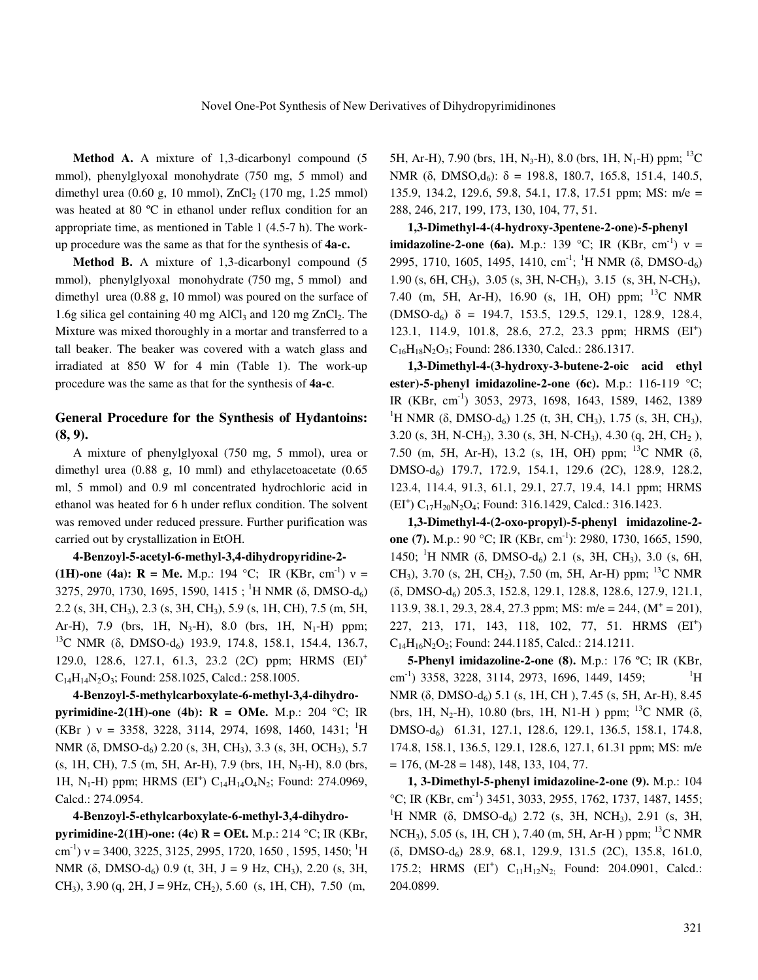**Method A.** A mixture of 1,3-dicarbonyl compound (5 mmol), phenylglyoxal monohydrate (750 mg, 5 mmol) and dimethyl urea  $(0.60 \text{ g}, 10 \text{ mmol})$ ,  $ZnCl<sub>2</sub> (170 mg, 1.25 mmol)$ was heated at 80 ºC in ethanol under reflux condition for an appropriate time, as mentioned in Table 1 (4.5-7 h). The workup procedure was the same as that for the synthesis of **4a-c.** 

 **Method B.** A mixture of 1,3-dicarbonyl compound (5 mmol), phenylglyoxal monohydrate (750 mg, 5 mmol) and dimethyl urea (0.88 g, 10 mmol) was poured on the surface of 1.6g silica gel containing 40 mg AlCl<sub>3</sub> and 120 mg ZnCl<sub>2</sub>. The Mixture was mixed thoroughly in a mortar and transferred to a tall beaker. The beaker was covered with a watch glass and irradiated at 850 W for 4 min (Table 1). The work-up procedure was the same as that for the synthesis of **4a-c**.

### **General Procedure for the Synthesis of Hydantoins: (8, 9).**

 A mixture of phenylglyoxal (750 mg, 5 mmol), urea or dimethyl urea (0.88 g, 10 mml) and ethylacetoacetate (0.65 ml, 5 mmol) and 0.9 ml concentrated hydrochloric acid in ethanol was heated for 6 h under reflux condition. The solvent was removed under reduced pressure. Further purification was carried out by crystallization in EtOH.

#### **4-Benzoyl-5-acetyl-6-methyl-3,4-dihydropyridine-2-**

**(1H)-one (4a): R = Me.** M.p.: 194 °C; IR (KBr, cm<sup>-1</sup>)  $v =$ 3275, 2970, 1730, 1695, 1590, 1415 ; <sup>1</sup>H NMR (δ, DMSO-d<sub>6</sub>) 2.2 (s, 3H, CH3), 2.3 (s, 3H, CH3), 5.9 (s, 1H, CH), 7.5 (m, 5H, Ar-H), 7.9 (brs, 1H, N<sub>3</sub>-H), 8.0 (brs, 1H, N<sub>1</sub>-H) ppm; <sup>13</sup>C NMR (δ, DMSO-d<sub>6</sub>) 193.9, 174.8, 158.1, 154.4, 136.7, 129.0, 128.6, 127.1, 61.3, 23.2 (2C) ppm; HRMS (EI)<sup>+</sup>  $C_{14}H_{14}N_2O_3$ ; Found: 258.1025, Calcd.: 258.1005.

 **4-Benzoyl-5-methylcarboxylate-6-methyl-3,4-dihydropyrimidine-2(1H)-one (4b): R = OMe.** M.p.: 204 °C; IR (KBr)  $v = 3358, 3228, 3114, 2974, 1698, 1460, 1431;$ <sup>1</sup>H NMR (δ, DMSO-d<sub>6</sub>) 2.20 (s, 3H, CH<sub>3</sub>), 3.3 (s, 3H, OCH<sub>3</sub>), 5.7 (s, 1H, CH), 7.5 (m, 5H, Ar-H), 7.9 (brs, 1H, N<sub>3</sub>-H), 8.0 (brs, 1H, N<sub>1</sub>-H) ppm; HRMS (EI<sup>+</sup>)  $C_{14}H_{14}O_4N_2$ ; Found: 274.0969, Calcd.: 274.0954.

#### **4-Benzoyl-5-ethylcarboxylate-6-methyl-3,4-dihydro-**

**pyrimidine-2(1H)-one: (4c) R = OEt.** M.p.: 214 °C; IR (KBr, cm<sup>-1</sup>) v = 3400, 3225, 3125, 2995, 1720, 1650, 1595, 1450; <sup>1</sup>H NMR ( $\delta$ , DMSO-d<sub> $6$ </sub>) 0.9 (t, 3H, J = 9 Hz, CH<sub>3</sub>), 2.20 (s, 3H,  $CH<sub>3</sub>$ ), 3.90 (q, 2H, J = 9Hz, CH<sub>2</sub>), 5.60 (s, 1H, CH), 7.50 (m,

5H, Ar-H), 7.90 (brs, 1H, N<sub>3</sub>-H), 8.0 (brs, 1H, N<sub>1</sub>-H) ppm; <sup>13</sup>C NMR (δ, DMSO,d<sub>6</sub>):  $\delta = 198.8, 180.7, 165.8, 151.4, 140.5,$ 135.9, 134.2, 129.6, 59.8, 54.1, 17.8, 17.51 ppm; MS: m/e = 288, 246, 217, 199, 173, 130, 104, 77, 51.

 **1,3-Dimethyl-4-(4-hydroxy-3pentene-2-one)-5-phenyl imidazoline-2-one (6a).** M.p.: 139 °C; IR (KBr, cm<sup>-1</sup>)  $v =$ 2995, 1710, 1605, 1495, 1410, cm<sup>-1</sup>; <sup>1</sup>H NMR (δ, DMSO-d<sub>6</sub>) 1.90 (s, 6H, CH3), 3.05 (s, 3H, N-CH3), 3.15 (s, 3H, N-CH3), 7.40 (m, 5H, Ar-H), 16.90 (s, 1H, OH) ppm; <sup>13</sup>C NMR  $(DMSO-d<sub>6</sub>)$  δ = 194.7, 153.5, 129.5, 129.1, 128.9, 128.4, 123.1, 114.9, 101.8, 28.6, 27.2, 23.3 ppm; HRMS (EI<sup>+</sup>)  $C_{16}H_{18}N_2O_3$ ; Found: 286.1330, Calcd.: 286.1317.

 **1,3-Dimethyl-4-(3-hydroxy-3-butene-2-oic acid ethyl ester)-5-phenyl imidazoline-2-one (6c).** M.p.: 116-119 °C; IR (KBr, cm-1) 3053, 2973, 1698, 1643, 1589, 1462, 1389 <sup>1</sup>H NMR (δ, DMSO-d<sub>6</sub>) 1.25 (t, 3H, CH<sub>3</sub>), 1.75 (s, 3H, CH<sub>3</sub>), 3.20 (s, 3H, N-CH3), 3.30 (s, 3H, N-CH3), 4.30 (q, 2H, CH2 ), 7.50 (m, 5H, Ar-H), 13.2 (s, 1H, OH) ppm; <sup>13</sup>C NMR (δ, DMSO-d6) 179.7, 172.9, 154.1, 129.6 (2C), 128.9, 128.2, 123.4, 114.4, 91.3, 61.1, 29.1, 27.7, 19.4, 14.1 ppm; HRMS  $(EI^+) C_{17}H_{20}N_2O_4$ ; Found: 316.1429, Calcd.: 316.1423.

 **1,3-Dimethyl-4-(2-oxo-propyl)-5-phenyl imidazoline-2 one (7).** M.p.: 90 °C; IR (KBr, cm<sup>-1</sup>): 2980, 1730, 1665, 1590, 1450; <sup>1</sup>H NMR (δ, DMSO-d<sub>6</sub>) 2.1 (s, 3H, CH<sub>3</sub>), 3.0 (s, 6H, CH<sub>3</sub>), 3.70 (s, 2H, CH<sub>2</sub>), 7.50 (m, 5H, Ar-H) ppm; <sup>13</sup>C NMR (δ, DMSO-d6) 205.3, 152.8, 129.1, 128.8, 128.6, 127.9, 121.1, 113.9, 38.1, 29.3, 28.4, 27.3 ppm; MS: m/e = 244,  $(M^+ = 201)$ , 227, 213, 171, 143, 118, 102, 77, 51. HRMS (EI<sup>+</sup>)  $C_{14}H_{16}N_2O_2$ ; Found: 244.1185, Calcd.: 214.1211.

 **5-Phenyl imidazoline-2-one (8).** M.p.: 176 ºC; IR (KBr, cm<sup>-1</sup>) 3358, 3228, 3114, 2973, 1696, 1449, 1459;  $1\text{H}$ NMR (δ, DMSO-d<sub>6</sub>) 5.1 (s, 1H, CH), 7.45 (s, 5H, Ar-H), 8.45 (brs, 1H, N<sub>2</sub>-H), 10.80 (brs, 1H, N1-H) ppm; <sup>13</sup>C NMR ( $\delta$ , DMSO-d6) 61.31, 127.1, 128.6, 129.1, 136.5, 158.1, 174.8, 174.8, 158.1, 136.5, 129.1, 128.6, 127.1, 61.31 ppm; MS: m/e  $= 176$ , (M-28  $= 148$ ), 148, 133, 104, 77.

 **1, 3-Dimethyl-5-phenyl imidazoline-2-one (9).** M.p.: 104  $°C$ ; IR (KBr, cm<sup>-1</sup>) 3451, 3033, 2955, 1762, 1737, 1487, 1455; <sup>1</sup>H NMR ( $\delta$ , DMSO-d<sub>6</sub>) 2.72 (s, 3H, NCH<sub>3</sub>), 2.91 (s, 3H, NCH<sub>3</sub>), 5.05 (s, 1H, CH), 7.40 (m, 5H, Ar-H) ppm; <sup>13</sup>C NMR (δ, DMSO-d6) 28.9, 68.1, 129.9, 131.5 (2C), 135.8, 161.0, 175.2; HRMS  $(EI^+)$   $C_{11}H_{12}N_{2}$ ; Found: 204.0901, Calcd.: 204.0899.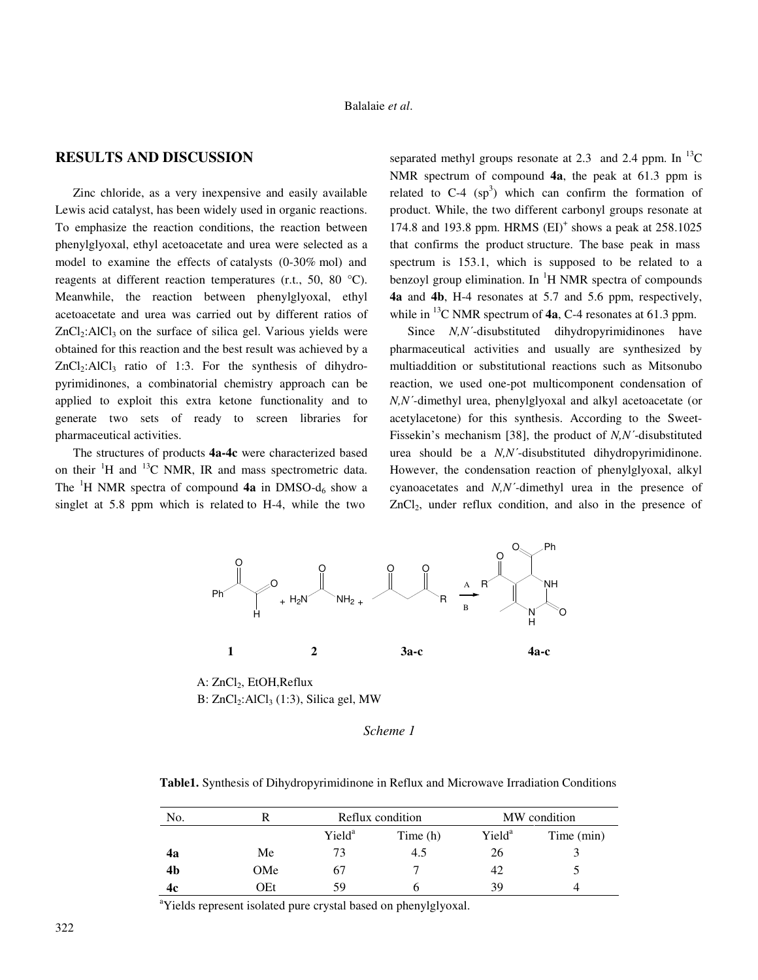### **RESULTS AND DISCUSSION**

 Zinc chloride, as a very inexpensive and easily available Lewis acid catalyst, has been widely used in organic reactions. To emphasize the reaction conditions, the reaction between phenylglyoxal, ethyl acetoacetate and urea were selected as a model to examine the effects of catalysts (0-30% mol) and reagents at different reaction temperatures (r.t., 50, 80  $^{\circ}$ C). Meanwhile, the reaction between phenylglyoxal, ethyl acetoacetate and urea was carried out by different ratios of  $ZnCl<sub>2</sub>:AlCl<sub>3</sub>$  on the surface of silica gel. Various yields were obtained for this reaction and the best result was achieved by a  $ZnCl<sub>2</sub>:AICI<sub>3</sub>$  ratio of 1:3. For the synthesis of dihydropyrimidinones, a combinatorial chemistry approach can be applied to exploit this extra ketone functionality and to generate two sets of ready to screen libraries for pharmaceutical activities.

 The structures of products **4a-4c** were characterized based on their  ${}^{1}H$  and  ${}^{13}C$  NMR, IR and mass spectrometric data. The <sup>1</sup>H NMR spectra of compound **4a** in DMSO- $d_6$  show a singlet at 5.8 ppm which is related to H-4, while the two

separated methyl groups resonate at 2.3 and 2.4 ppm. In  $^{13}$ C NMR spectrum of compound **4a**, the peak at 61.3 ppm is related to  $C-4$  (sp<sup>3</sup>) which can confirm the formation of product. While, the two different carbonyl groups resonate at 174.8 and 193.8 ppm. HRMS (EI)<sup>+</sup> shows a peak at 258.1025 that confirms the product structure. The base peak in mass spectrum is 153.1, which is supposed to be related to a benzoyl group elimination. In <sup>1</sup>H NMR spectra of compounds **4a** and **4b**, H-4 resonates at 5.7 and 5.6 ppm, respectively, while in <sup>13</sup>C NMR spectrum of **4a**, C-4 resonates at 61.3 ppm.

Since *N,N'*-disubstituted dihydropyrimidinones have pharmaceutical activities and usually are synthesized by multiaddition or substitutional reactions such as Mitsonubo reaction, we used one-pot multicomponent condensation of *N,N*΄*-*dimethyl urea, phenylglyoxal and alkyl acetoacetate (or acetylacetone) for this synthesis. According to the Sweet-Fissekin's mechanism [38], the product of *N,N*΄-disubstituted urea should be a *N,N*΄-disubstituted dihydropyrimidinone. However, the condensation reaction of phenylglyoxal, alkyl cyanoacetates and *N,N*΄*-*dimethyl urea in the presence of  $ZnCl<sub>2</sub>$ , under reflux condition, and also in the presence of



A: ZnCl<sub>2</sub>, EtOH, Reflux B:  $ZnCl<sub>2</sub>:AlCl<sub>3</sub>(1:3)$ , Silica gel, MW

#### *Scheme 1*

 **Table1.** Synthesis of Dihydropyrimidinone in Reflux and Microwave Irradiation Conditions

| No. |     | Reflux condition   |          | MW condition       |            |
|-----|-----|--------------------|----------|--------------------|------------|
|     |     | Yield <sup>a</sup> | Time (h) | Yield <sup>a</sup> | Time (min) |
| 4a  | Me  | 73                 | 4.5      | 26                 |            |
| 4b  | OMe | 67                 |          | 42                 |            |
| 4c  | OEt | 59                 |          | 39                 |            |

<sup>a</sup>Yields represent isolated pure crystal based on phenylglyoxal.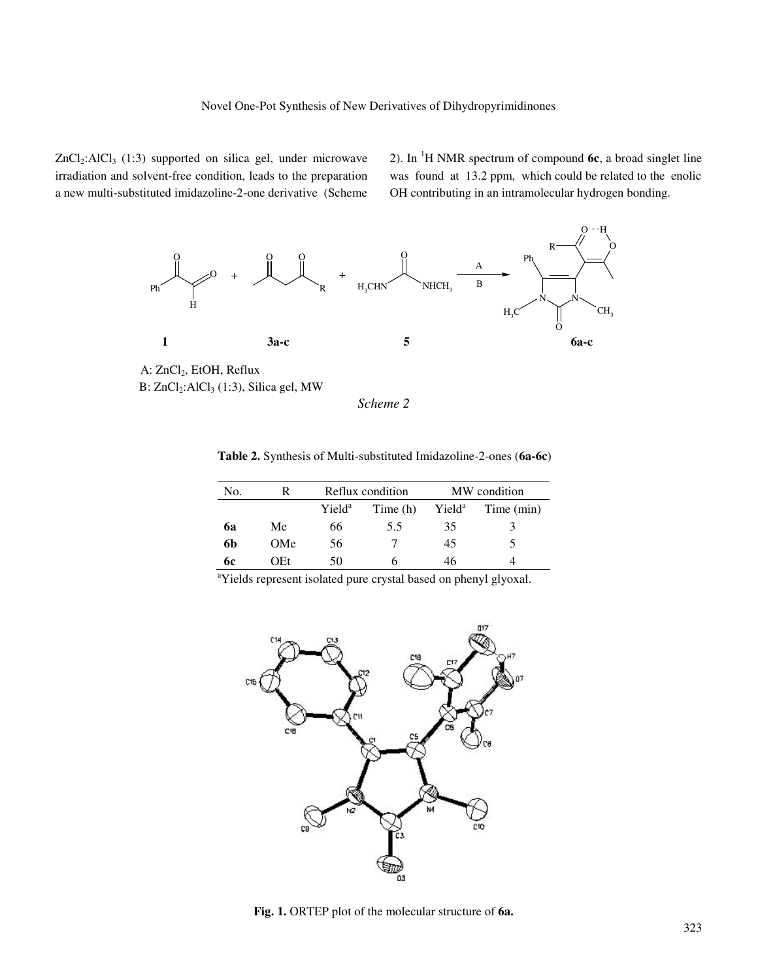$ZnCl<sub>2</sub>:AICI<sub>3</sub> (1:3) supported on silica gel, under microwave$ irradiation and solvent-free condition, leads to the preparation a new multi-substituted imidazoline-2-one derivative(Scheme

2). In <sup>1</sup>H NMR spectrum of compound **6c**, a broad singlet line was found at 13.2 ppm, which could be related to the enolic OH contributing in an intramolecular hydrogen bonding.



A: ZnCl<sub>2</sub>, EtOH, Reflux B: ZnCl<sub>2</sub>:AlCl<sub>3</sub> (1:3), Silica gel, MW

*Scheme 2* 

| Table 2. Synthesis of Multi-substituted Imidazoline-2-ones (6a-6c) |  |
|--------------------------------------------------------------------|--|
|--------------------------------------------------------------------|--|

| No. |     | Reflux condition   |          | MW condition       |            |
|-----|-----|--------------------|----------|--------------------|------------|
|     |     | Yield <sup>a</sup> | Time (h) | Yield <sup>a</sup> | Time (min) |
| 6a  | Me  | 66                 | 5.5      | 35                 |            |
| 6b  | OMe | 56                 |          | 45                 |            |
| 6с  | OEt | 50                 |          | 46                 |            |

<sup>a</sup>Yields represent isolated pure crystal based on phenyl glyoxal.



**Fig. 1.** ORTEP plot of the molecular structure of **6a.**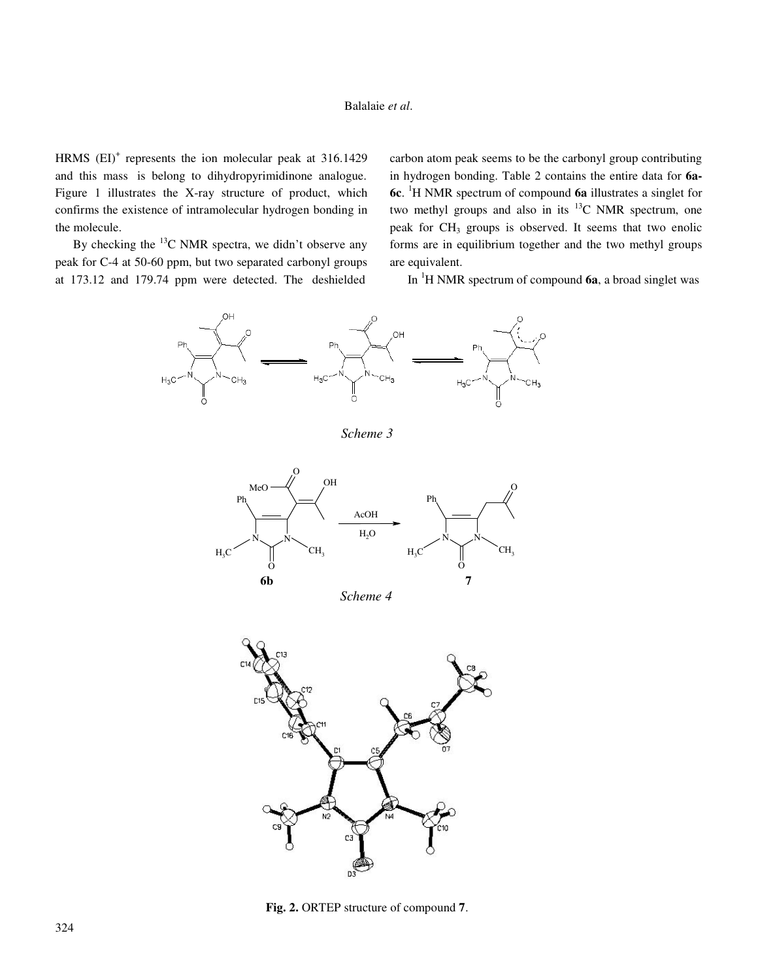#### Balalaie *et al*.

HRMS  $(EI)^+$  represents the ion molecular peak at 316.1429 and this mass is belong to dihydropyrimidinone analogue. Figure 1 illustrates the X-ray structure of product, which confirms the existence of intramolecular hydrogen bonding in the molecule.

By checking the  $^{13}$ C NMR spectra, we didn't observe any peak for C-4 at 50-60 ppm, but two separated carbonyl groups at 173.12 and 179.74 ppm were detected. The deshielded

carbon atom peak seems to be the carbonyl group contributing in hydrogen bonding. Table 2 contains the entire data for **6a-6c**. <sup>1</sup>H NMR spectrum of compound **6a** illustrates a singlet for two methyl groups and also in its  $^{13}$ C NMR spectrum, one peak for CH<sub>3</sub> groups is observed. It seems that two enolic forms are in equilibrium together and the two methyl groups are equivalent.

In <sup>1</sup>H NMR spectrum of compound **6a**, a broad singlet was



*Scheme 3* 





**Fig. 2.** ORTEP structure of compound **7**.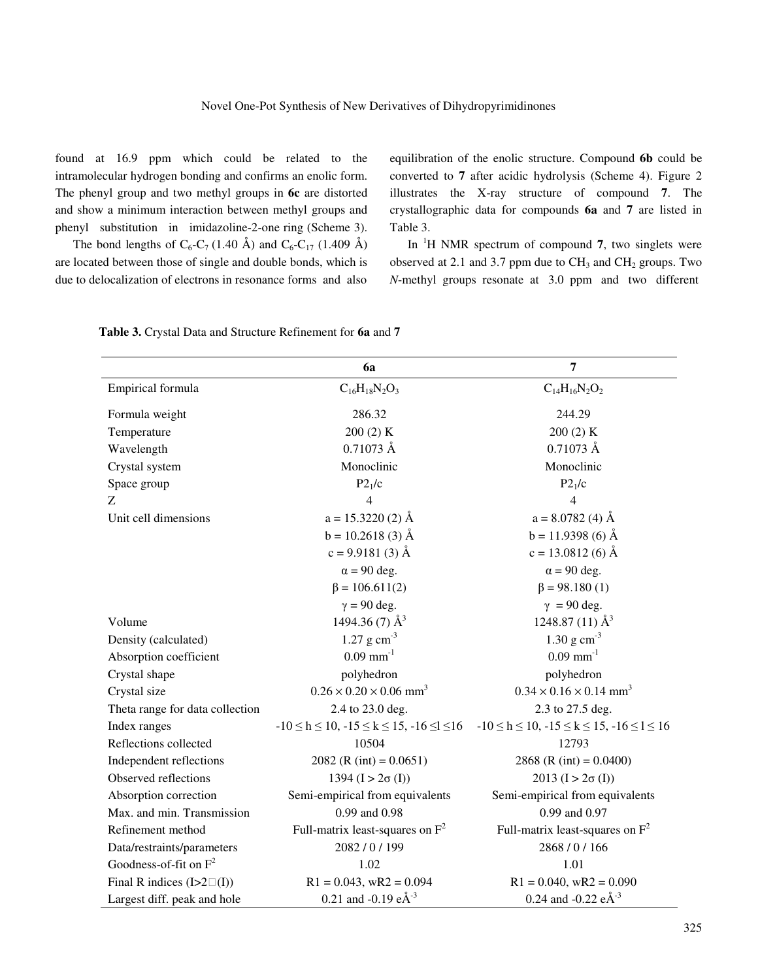found at 16.9 ppm which could be related to the intramolecular hydrogen bonding and confirms an enolic form. The phenyl group and two methyl groups in **6c** are distorted and show a minimum interaction between methyl groups and phenyl substitution in imidazoline-2-one ring (Scheme 3).

The bond lengths of  $C_6$ - $C_7$  (1.40 Å) and  $C_6$ - $C_{17}$  (1.409 Å) are located between those of single and double bonds, which is due to delocalization of electrons in resonance forms and also equilibration of the enolic structure. Compound **6b** could be converted to **7** after acidic hydrolysis (Scheme 4). Figure 2 illustrates the X-ray structure of compound **7**. The crystallographic data for compounds **6a** and **7** are listed in Table 3.

 In <sup>1</sup>H NMR spectrum of compound **7**, two singlets were observed at 2.1 and 3.7 ppm due to  $CH<sub>3</sub>$  and  $CH<sub>2</sub>$  groups. Two *N*-methyl groups resonate at 3.0 ppm and two different

|                                   | 6a                                                           | $\overline{7}$                                               |  |
|-----------------------------------|--------------------------------------------------------------|--------------------------------------------------------------|--|
| Empirical formula                 | $C_{16}H_{18}N_2O_3$                                         | $C_{14}H_{16}N_2O_2$                                         |  |
| Formula weight                    | 286.32                                                       | 244.29                                                       |  |
| Temperature                       | 200(2) K                                                     | 200(2) K                                                     |  |
| Wavelength                        | $0.71073 \text{ Å}$                                          | $0.71073$ Å                                                  |  |
| Crystal system                    | Monoclinic                                                   | Monoclinic                                                   |  |
| Space group                       | P2 <sub>1</sub> /c                                           | P2 <sub>1</sub> /c                                           |  |
| Z                                 | 4                                                            | $\overline{4}$                                               |  |
| Unit cell dimensions              | $a = 15.3220(2)$ Å                                           | $a = 8.0782(4)$ Å                                            |  |
|                                   | $b = 10.2618(3)$ Å                                           | $b = 11.9398(6)$ Å                                           |  |
|                                   | $c = 9.9181(3)$ Å                                            | $c = 13.0812(6)$ Å                                           |  |
|                                   | $\alpha$ = 90 deg.                                           | $\alpha$ = 90 deg.                                           |  |
|                                   | $\beta = 106.611(2)$                                         | $\beta = 98.180(1)$                                          |  |
|                                   | $\gamma = 90$ deg.                                           | $\gamma = 90$ deg.                                           |  |
| Volume                            | 1494.36 (7) $\AA^3$                                          | 1248.87 (11) $\AA^3$                                         |  |
| Density (calculated)              | 1.27 $\rm g \, cm^{-3}$                                      | 1.30 g $cm^{-3}$                                             |  |
| Absorption coefficient            | $0.09$ mm <sup>-1</sup>                                      | $0.09$ mm <sup>-1</sup>                                      |  |
| Crystal shape                     | polyhedron                                                   | polyhedron                                                   |  |
| Crystal size                      | $0.26 \times 0.20 \times 0.06$ mm <sup>3</sup>               | $0.34 \times 0.16 \times 0.14$ mm <sup>3</sup>               |  |
| Theta range for data collection   | 2.4 to 23.0 deg.                                             | 2.3 to 27.5 deg.                                             |  |
| Index ranges                      | $-10 \le h \le 10$ , $-15 \le k \le 15$ , $-16 \le l \le 16$ | $-10 \le h \le 10$ , $-15 \le k \le 15$ , $-16 \le l \le 16$ |  |
| Reflections collected             | 10504                                                        | 12793                                                        |  |
| Independent reflections           | 2082 (R (int) = $0.0651$ )                                   | 2868 (R (int) = $0.0400$ )                                   |  |
| Observed reflections              | 1394 ( $I > 2\sigma$ (I))                                    | $2013$ $(I > 2\sigma (I))$                                   |  |
| Absorption correction             | Semi-empirical from equivalents                              | Semi-empirical from equivalents                              |  |
| Max. and min. Transmission        | 0.99 and 0.98                                                | 0.99 and 0.97                                                |  |
| Refinement method                 | Full-matrix least-squares on $F^2$                           | Full-matrix least-squares on $F^2$                           |  |
| Data/restraints/parameters        | 2082 / 0 / 199                                               | 2868 / 0 / 166                                               |  |
| Goodness-of-fit on $F^2$          | 1.02                                                         | 1.01                                                         |  |
| Final R indices $(I>2\square(I))$ | $R1 = 0.043$ , wR2 = 0.094                                   | $R1 = 0.040$ , wR2 = 0.090                                   |  |
| Largest diff. peak and hole       | 0.21 and -0.19 $e^{\hat{A}^{-3}}$                            | 0.24 and -0.22 $e\text{\AA}^{3}$                             |  |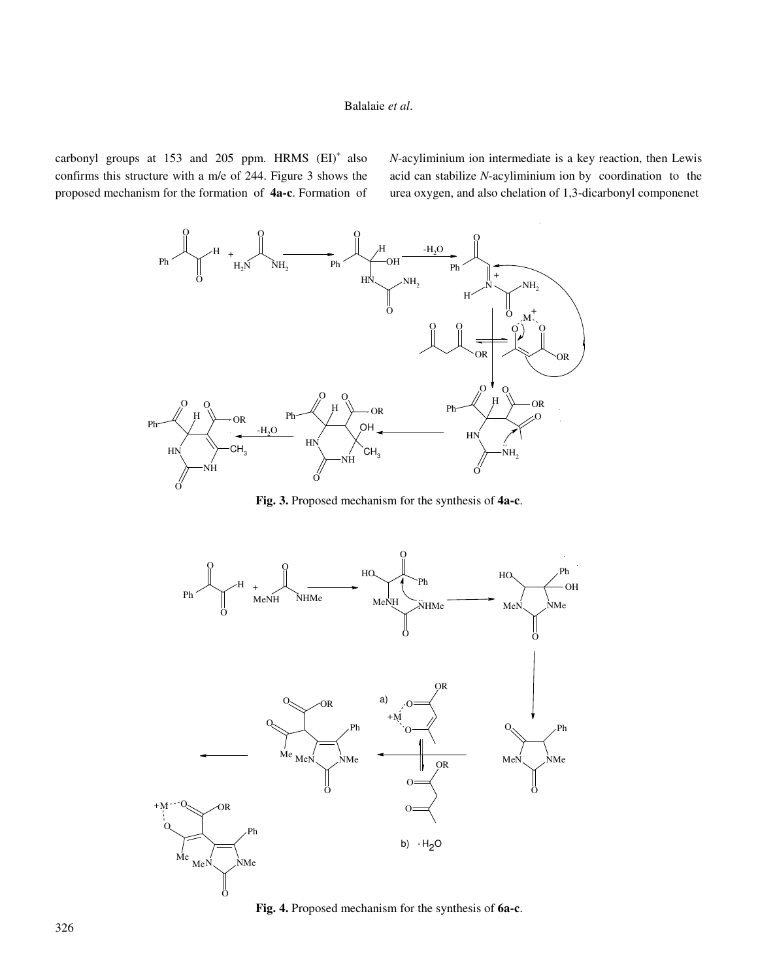carbonyl groups at  $153$  and  $205$  ppm. HRMS  $(EI)^+$  also confirms this structure with a m/e of 244. Figure 3 shows the proposed mechanism for the formation of **4a-c**. Formation of *N*-acyliminium ion intermediate is a key reaction, then Lewis acid can stabilize *N-*acyliminium ion by coordination to the urea oxygen, and also chelation of 1,3-dicarbonyl componenet



**Fig. 3.** Proposed mechanism for the synthesis of **4a-c**.



**Fig. 4.** Proposed mechanism for the synthesis of **6a-c**.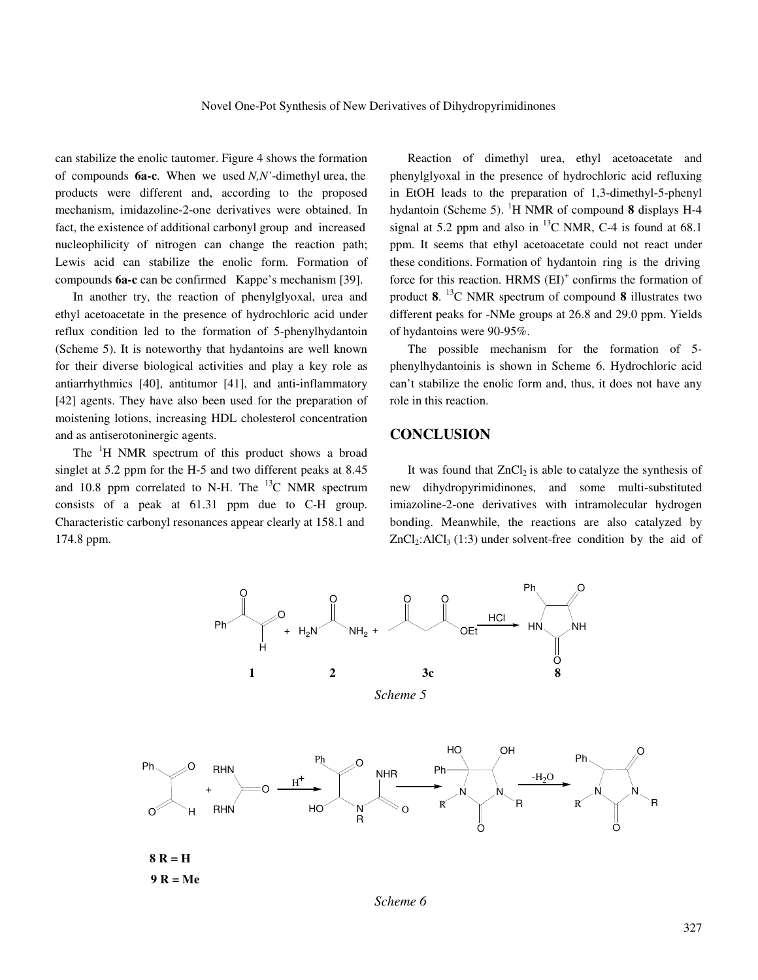can stabilize the enolic tautomer. Figure 4 shows the formation of compounds **6a-c**. When we used *N,N'*-dimethyl urea, the products were different and, according to the proposed mechanism, imidazoline-2-one derivatives were obtained. In fact, the existence of additional carbonyl group and increased nucleophilicity of nitrogen can change the reaction path; Lewis acid can stabilize the enolic form. Formation of compounds **6a-c** can be confirmed Kappe's mechanism [39].

 In another try, the reaction of phenylglyoxal, urea and ethyl acetoacetate in the presence of hydrochloric acid under reflux condition led to the formation of 5-phenylhydantoin (Scheme 5). It is noteworthy that hydantoins are well known for their diverse biological activities and play a key role as antiarrhythmics [40], antitumor [41], and anti-inflammatory [42] agents. They have also been used for the preparation of moistening lotions, increasing HDL cholesterol concentration and as antiserotoninergic agents.

The <sup>1</sup>H NMR spectrum of this product shows a broad singlet at 5.2 ppm for the H-5 and two different peaks at 8.45 and 10.8 ppm correlated to N-H. The  $^{13}$ C NMR spectrum consists of a peak at 61.31 ppm due to C-H group. Characteristic carbonyl resonances appear clearly at 158.1 and 174.8 ppm.

 Reaction of dimethyl urea, ethyl acetoacetate and phenylglyoxal in the presence of hydrochloric acid refluxing in EtOH leads to the preparation of 1,3-dimethyl-5-phenyl hydantoin (Scheme 5). <sup>1</sup>H NMR of compound **8** displays H-4 signal at 5.2 ppm and also in  $^{13}$ C NMR, C-4 is found at 68.1 ppm. It seems that ethyl acetoacetate could not react under these conditions. Formation of hydantoin ring is the driving force for this reaction. HRMS (EI)<sup>+</sup> confirms the formation of product **8**. <sup>13</sup>C NMR spectrum of compound **8** illustrates two different peaks for -NMe groups at 26.8 and 29.0 ppm. Yields of hydantoins were 90-95%.

 The possible mechanism for the formation of 5 phenylhydantoinis is shown in Scheme 6. Hydrochloric acid can't stabilize the enolic form and, thus, it does not have any role in this reaction.

### **CONCLUSION**

It was found that  $ZnCl<sub>2</sub>$  is able to catalyze the synthesis of new dihydropyrimidinones, and some multi-substituted imiazoline-2-one derivatives with intramolecular hydrogen bonding. Meanwhile, the reactions are also catalyzed by  $ZnCl<sub>2</sub>:AlCl<sub>3</sub>(1:3)$  under solvent-free condition by the aid of



*Scheme 6*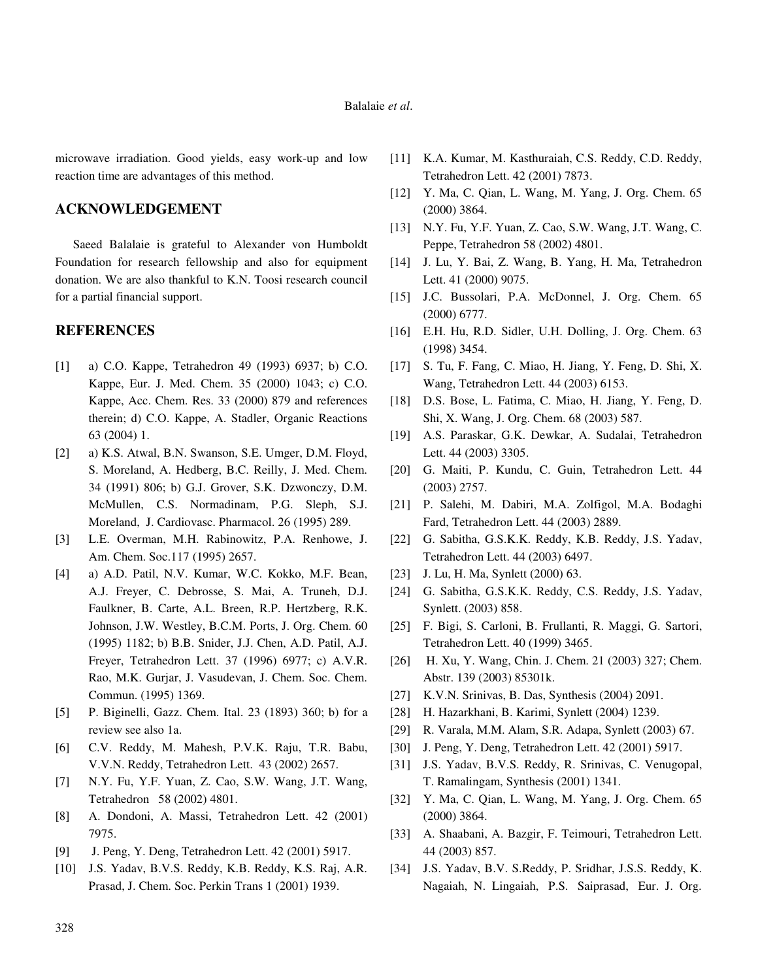#### Balalaie *et al*.

microwave irradiation. Good yields, easy work-up and low reaction time are advantages of this method.

#### **ACKNOWLEDGEMENT**

 Saeed Balalaie is grateful to Alexander von Humboldt Foundation for research fellowship and also for equipment donation. We are also thankful to K.N. Toosi research council for a partial financial support.

#### **REFERENCES**

- [1] a) C.O. Kappe, Tetrahedron 49 (1993) 6937; b) C.O. Kappe, Eur. J. Med. Chem. 35 (2000) 1043; c) C.O. Kappe, Acc. Chem. Res. 33 (2000) 879 and references therein; d) C.O. Kappe, A. Stadler, Organic Reactions 63 (2004) 1.
- [2] a) K.S. Atwal, B.N. Swanson, S.E. Umger, D.M. Floyd, S. Moreland, A. Hedberg, B.C. Reilly, J. Med. Chem. 34 (1991) 806; b) G.J. Grover, S.K. Dzwonczy, D.M. McMullen, C.S. Normadinam, P.G. Sleph, S.J. Moreland, J. Cardiovasc. Pharmacol. 26 (1995) 289.
- [3] L.E. Overman, M.H. Rabinowitz, P.A. Renhowe, J. Am. Chem. Soc.117 (1995) 2657.
- [4] a) A.D. Patil, N.V. Kumar, W.C. Kokko, M.F. Bean, A.J. Freyer, C. Debrosse, S. Mai, A. Truneh, D.J. Faulkner, B. Carte, A.L. Breen, R.P. Hertzberg, R.K. Johnson, J.W. Westley, B.C.M. Ports, J. Org. Chem. 60 (1995) 1182; b) B.B. Snider, J.J. Chen, A.D. Patil, A.J. Freyer, Tetrahedron Lett. 37 (1996) 6977; c) A.V.R. Rao, M.K. Gurjar, J. Vasudevan, J. Chem. Soc. Chem. Commun. (1995) 1369.
- [5] P. Biginelli, Gazz. Chem. Ital. 23 (1893) 360; b) for a review see also 1a.
- [6] C.V. Reddy, M. Mahesh, P.V.K. Raju, T.R. Babu, V.V.N. Reddy, Tetrahedron Lett. 43 (2002) 2657.
- [7] N.Y. Fu, Y.F. Yuan, Z. Cao, S.W. Wang, J.T. Wang, Tetrahedron 58 (2002) 4801.
- [8] A. Dondoni, A. Massi, Tetrahedron Lett. 42 (2001) 7975.
- [9] J. Peng, Y. Deng, Tetrahedron Lett. 42 (2001) 5917.
- [10] J.S. Yadav, B.V.S. Reddy, K.B. Reddy, K.S. Raj, A.R. Prasad, J. Chem. Soc. Perkin Trans 1 (2001) 1939.
- [11] K.A. Kumar, M. Kasthuraiah, C.S. Reddy, C.D. Reddy, Tetrahedron Lett. 42 (2001) 7873.
- [12] Y. Ma, C. Qian, L. Wang, M. Yang, J. Org. Chem. 65 (2000) 3864.
- [13] N.Y. Fu, Y.F. Yuan, Z. Cao, S.W. Wang, J.T. Wang, C. Peppe, Tetrahedron 58 (2002**)** 4801.
- [14] J. Lu, Y. Bai, Z. Wang, B. Yang, H. Ma, Tetrahedron Lett. 41 (2000) 9075.
- [15] J.C. Bussolari, P.A. McDonnel, J. Org. Chem. 65 (2000) 6777.
- [16] E.H. Hu, R.D. Sidler, U.H. Dolling, J. Org. Chem. 63 (1998) 3454.
- [17] S. Tu, F. Fang, C. Miao, H. Jiang, Y. Feng, D. Shi, X. Wang, Tetrahedron Lett. 44 (2003) 6153.
- [18] D.S. Bose, L. Fatima, C. Miao, H. Jiang, Y. Feng, D. Shi, X. Wang, J. Org. Chem. 68 (2003) 587.
- [19] A.S. Paraskar, G.K. Dewkar, A. Sudalai, Tetrahedron Lett. 44 (2003) 3305.
- [20] G. Maiti, P. Kundu, C. Guin, Tetrahedron Lett. 44 (2003) 2757.
- [21] P. Salehi, M. Dabiri, M.A. Zolfigol, M.A. Bodaghi Fard, Tetrahedron Lett. 44 (2003) 2889.
- [22] G. Sabitha, G.S.K.K. Reddy, K.B. Reddy, J.S. Yadav, Tetrahedron Lett. 44 (2003) 6497.
- [23] J. Lu, H. Ma, Synlett (2000) 63.
- [24] G. Sabitha, G.S.K.K. Reddy, C.S. Reddy, J.S. Yadav, Synlett. (2003) 858.
- [25] F. Bigi, S. Carloni, B. Frullanti, R. Maggi, G. Sartori, Tetrahedron Lett. 40 (1999) 3465.
- [26] H. Xu, Y. Wang, Chin. J. Chem. 21 (2003) 327; Chem. Abstr. 139 (2003) 85301k.
- [27] K.V.N. Srinivas, B. Das, Synthesis (2004) 2091.
- [28] H. Hazarkhani, B. Karimi, Synlett (2004) 1239.
- [29] R. Varala, M.M. Alam, S.R. Adapa, Synlett (2003) 67.
- [30] J. Peng, Y. Deng, Tetrahedron Lett. 42 (2001) 5917.
- [31] J.S. Yadav, B.V.S. Reddy, R. Srinivas, C. Venugopal, T. Ramalingam, Synthesis (2001) 1341.
- [32] Y. Ma, C. Qian, L. Wang, M. Yang, J. Org. Chem. 65 (2000) 3864.
- [33] A. Shaabani, A. Bazgir, F. Teimouri, Tetrahedron Lett. 44 (2003) 857.
- [34] J.S. Yadav, B.V. S.Reddy, P. Sridhar, J.S.S. Reddy, K. Nagaiah, N. Lingaiah, P.S. Saiprasad, Eur. J. Org.